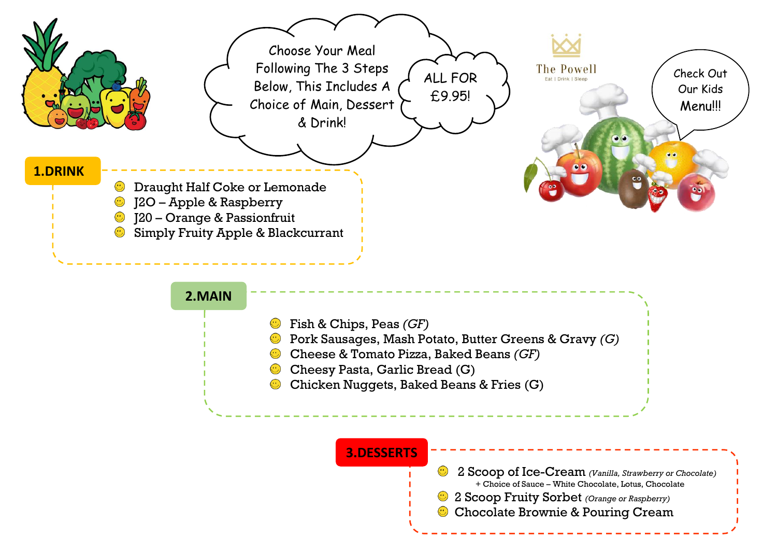